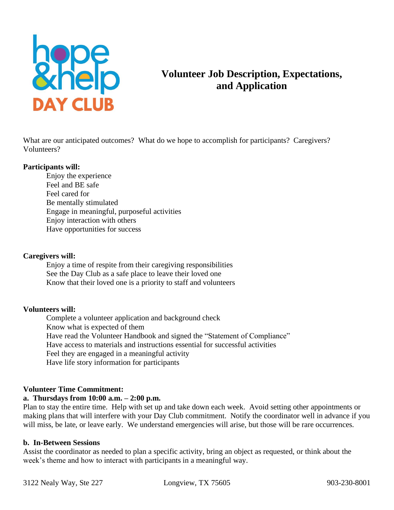

# **Volunteer Job Description, Expectations, and Application**

What are our anticipated outcomes? What do we hope to accomplish for participants? Caregivers? Volunteers?

#### **Participants will:**

Enjoy the experience Feel and BE safe Feel cared for Be mentally stimulated Engage in meaningful, purposeful activities Enjoy interaction with others Have opportunities for success

#### **Caregivers will:**

Enjoy a time of respite from their caregiving responsibilities See the Day Club as a safe place to leave their loved one Know that their loved one is a priority to staff and volunteers

#### **Volunteers will:**

Complete a volunteer application and background check Know what is expected of them Have read the Volunteer Handbook and signed the "Statement of Compliance" Have access to materials and instructions essential for successful activities Feel they are engaged in a meaningful activity Have life story information for participants

#### **Volunteer Time Commitment:**

# **a. Thursdays from 10:00 a.m. – 2:00 p.m.**

Plan to stay the entire time. Help with set up and take down each week. Avoid setting other appointments or making plans that will interfere with your Day Club commitment. Notify the coordinator well in advance if you will miss, be late, or leave early. We understand emergencies will arise, but those will be rare occurrences.

#### **b. In-Between Sessions**

Assist the coordinator as needed to plan a specific activity, bring an object as requested, or think about the week's theme and how to interact with participants in a meaningful way.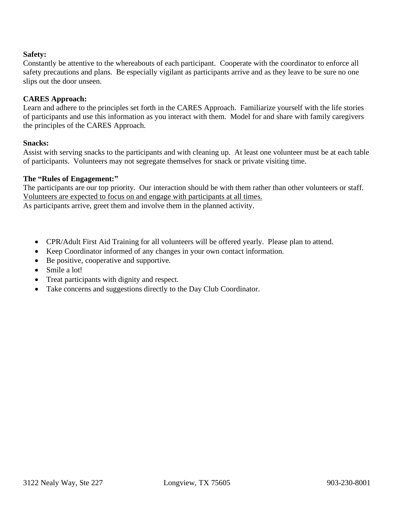# **Safety:**

Constantly be attentive to the whereabouts of each participant. Cooperate with the coordinator to enforce all safety precautions and plans. Be especially vigilant as participants arrive and as they leave to be sure no one slips out the door unseen.

## **CARES Approach:**

Learn and adhere to the principles set forth in the CARES Approach. Familiarize yourself with the life stories of participants and use this information as you interact with them. Model for and share with family caregivers the principles of the CARES Approach.

#### **Snacks:**

Assist with serving snacks to the participants and with cleaning up. At least one volunteer must be at each table of participants. Volunteers may not segregate themselves for snack or private visiting time.

# **The "Rules of Engagement:"**

The participants are our top priority. Our interaction should be with them rather than other volunteers or staff. Volunteers are expected to focus on and engage with participants at all times. As participants arrive, greet them and involve them in the planned activity.

- CPR/Adult First Aid Training for all volunteers will be offered yearly. Please plan to attend.
- Keep Coordinator informed of any changes in your own contact information.
- Be positive, cooperative and supportive.
- Smile a lot!
- Treat participants with dignity and respect.
- Take concerns and suggestions directly to the Day Club Coordinator.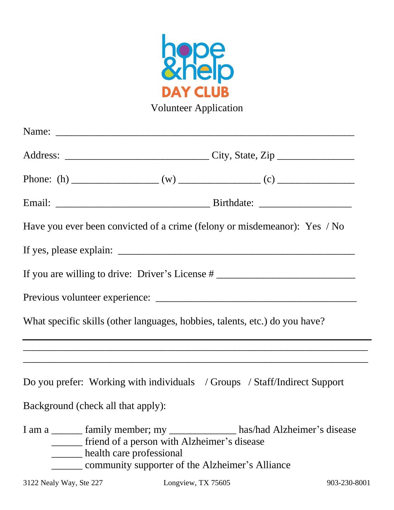

| Have you ever been convicted of a crime (felony or misdemeanor): Yes / No                                                                                                                                     |  |  |
|---------------------------------------------------------------------------------------------------------------------------------------------------------------------------------------------------------------|--|--|
|                                                                                                                                                                                                               |  |  |
| If you are willing to drive: Driver's License # ________________________________                                                                                                                              |  |  |
|                                                                                                                                                                                                               |  |  |
| What specific skills (other languages, hobbies, talents, etc.) do you have?                                                                                                                                   |  |  |
| <u> 1990 - Jan James James James James James James James James James James James James James James James James</u>                                                                                            |  |  |
| Do you prefer: Working with individuals / Groups / Staff/Indirect Support                                                                                                                                     |  |  |
| Background (check all that apply):                                                                                                                                                                            |  |  |
| I am a ______ family member; my _____________ has/had Alzheimer's disease<br>_____ friend of a person with Alzheimer's disease<br>health care professional<br>community supporter of the Alzheimer's Alliance |  |  |